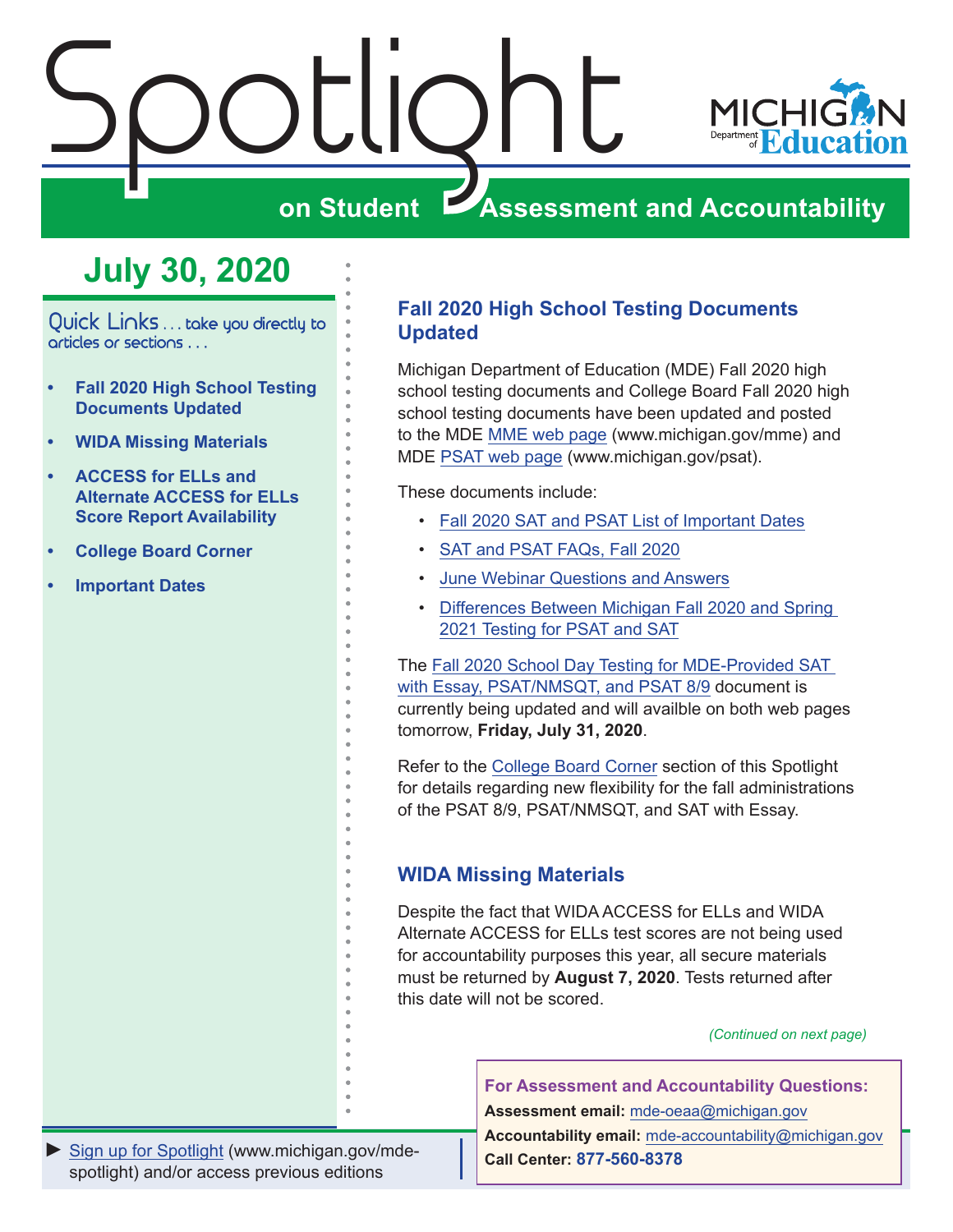<span id="page-0-0"></span>



## **ZASSESSMENT AND ACCOUNTABILITY**

## **July 30, 2020**

Quick Links . . . take you directly to articles or sections . . .

- **• Fall 2020 High School Testing Documents Updated**
- **• WIDA Missing Materials**
- **• [ACCESS for ELLs and](#page-1-0)  [Alternate ACCESS for ELLs](#page-1-0)  [Score Report Availability](#page-1-0)**
- **• [College Board Corner](#page-4-0)**
- **• [Important Dates](#page-7-0)**

## **Fall 2020 High School Testing Documents Updated**

Michigan Department of Education (MDE) Fall 2020 high school testing documents and College Board Fall 2020 high school testing documents have been updated and posted to the MDE [MME web page](www.michigan.gov/mme) (www.michigan.gov/mme) and MDE [PSAT web page](http://www.michigan.gov/psat) (www.michigan.gov/psat).

These documents include:

- [Fall 2020 SAT and PSAT List of Important Dates](https://www.michigan.gov/documents/mde/Fall_2020_List_of_Important_Dates_689777_7.pdf)
- [SAT and PSAT FAQs, Fall 2020](https://www.michigan.gov/documents/mde/Michigan_FAQs_ADA_691945_7.pdf)
- [June Webinar Questions and Answers](https://www.michigan.gov/documents/mde/June_Webinar_Questions_and_Answers_Updated_July30_ADA_697792_7.pdf)
- [Differences Between Michigan Fall 2020 and Spring](https://www.michigan.gov/documents/mde/Michigan_Fall_vs_Spring_ADA_691944_7.pdf)  [2021 Testing for PSAT and SAT](https://www.michigan.gov/documents/mde/Michigan_Fall_vs_Spring_ADA_691944_7.pdf)

The [Fall 2020 School Day Testing for MDE-Provided SAT](https://www.michigan.gov/documents/mde/Fall_2020_School_Day_Testing_for_MDE_Provided_Assessments_690609_7.pdf)  [with Essay, PSAT/NMSQT, and PSAT 8/9](https://www.michigan.gov/documents/mde/Fall_2020_School_Day_Testing_for_MDE_Provided_Assessments_690609_7.pdf) document is currently being updated and will availble on both web pages tomorrow, **Friday, July 31, 2020**.

Refer to the [College Board Corner](#page-4-0) section of this Spotlight for details regarding new flexibility for the fall administrations of the PSAT 8/9, PSAT/NMSQT, and SAT with Essay.

## **WIDA Missing Materials**

Despite the fact that WIDA ACCESS for ELLs and WIDA Alternate ACCESS for ELLs test scores are not being used for accountability purposes this year, all secure materials must be returned by **August 7, 2020**. Tests returned after this date will not be scored.

*(Continued on next page)*

**For Assessment and Accountability Questions:**

**Assessment email:** mde-oeaa[@michigan.gov](mailto:mde-oeaa%40michigan.gov?subject=assessment%20question)

**Accountability email:** mde[-accountability@michigan.gov](mailto:MDE-Accountability%40michigan.gov?subject=Accountability%20question) **Call Center: 877-560-8378**

*►* [Sign up for Spotlight](https://public.govdelivery.com/accounts/MIMDE/subscriber/new) [\(www.michigan.gov/mde](www.michigan.gov/mde-spotlight)spotlight) and/or access previous editions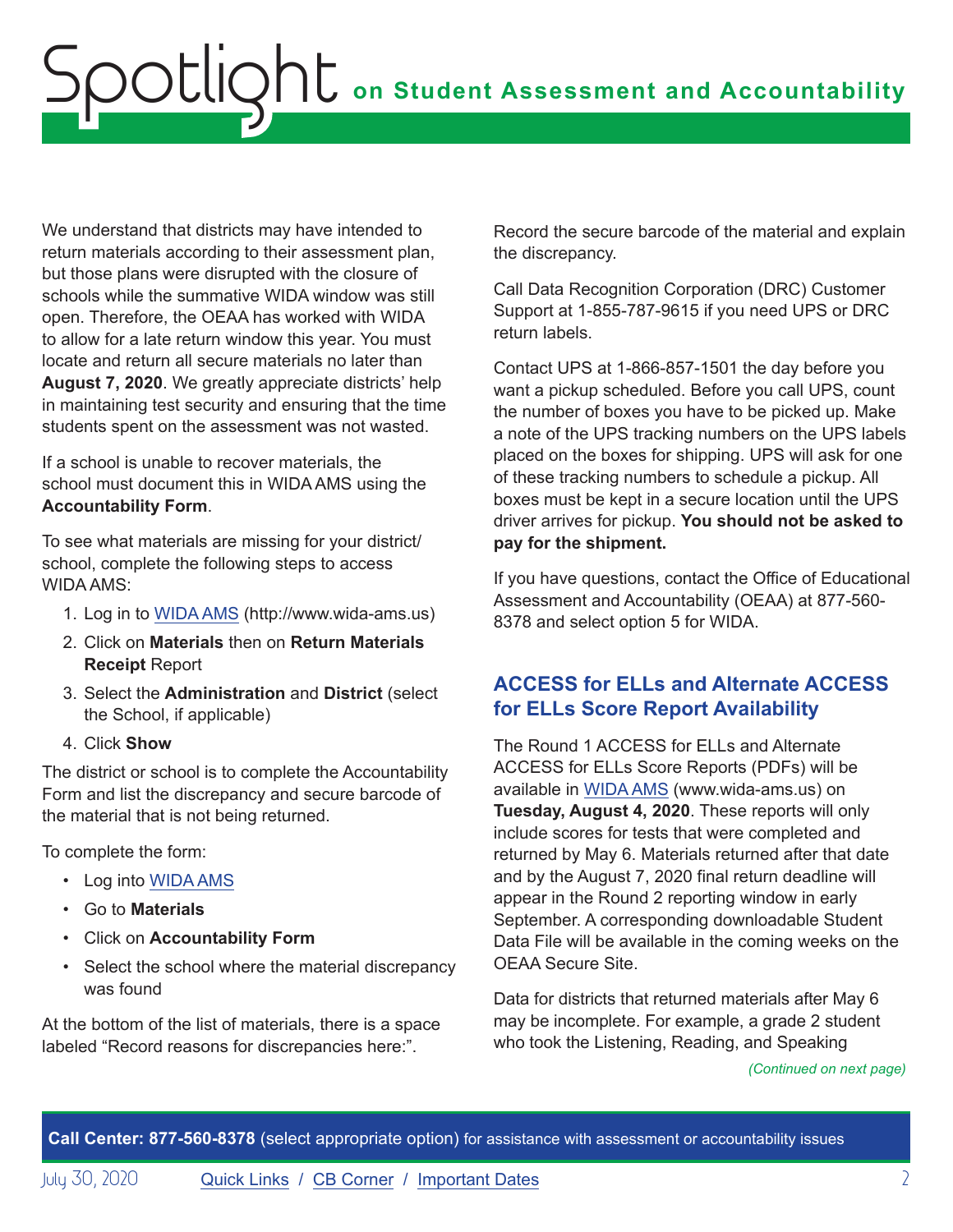<span id="page-1-0"></span>We understand that districts may have intended to return materials according to their assessment plan, but those plans were disrupted with the closure of schools while the summative WIDA window was still open. Therefore, the OEAA has worked with WIDA to allow for a late return window this year. You must locate and return all secure materials no later than **August 7, 2020**. We greatly appreciate districts' help in maintaining test security and ensuring that the time students spent on the assessment was not wasted.

If a school is unable to recover materials, the school must document this in WIDA AMS using the **Accountability Form**.

To see what materials are missing for your district/ school, complete the following steps to access WIDA AMS:

- 1. Log in to [WIDA AMS](https://www.wida-ams.us/) (http://www.wida-ams.us)
- 2. Click on **Materials** then on **Return Materials Receipt** Report
- 3. Select the **Administration** and **District** (select the School, if applicable)
- 4. Click **Show**

The district or school is to complete the Accountability Form and list the discrepancy and secure barcode of the material that is not being returned.

To complete the form:

- Log into [WIDA AMS](https://www.wida-ams.us/)
- Go to **Materials**
- Click on **Accountability Form**
- Select the school where the material discrepancy was found

At the bottom of the list of materials, there is a space labeled "Record reasons for discrepancies here:".

Record the secure barcode of the material and explain the discrepancy.

Call Data Recognition Corporation (DRC) Customer Support at 1-855-787-9615 if you need UPS or DRC return labels.

Contact UPS at 1-866-857-1501 the day before you want a pickup scheduled. Before you call UPS, count the number of boxes you have to be picked up. Make a note of the UPS tracking numbers on the UPS labels placed on the boxes for shipping. UPS will ask for one of these tracking numbers to schedule a pickup. All boxes must be kept in a secure location until the UPS driver arrives for pickup. **You should not be asked to pay for the shipment.**

If you have questions, contact the Office of Educational Assessment and Accountability (OEAA) at 877-560- 8378 and select option 5 for WIDA.

## **ACCESS for ELLs and Alternate ACCESS for ELLs Score Report Availability**

The Round 1 ACCESS for ELLs and Alternate ACCESS for ELLs Score Reports (PDFs) will be available in [WIDA AMS](https://www.wida-ams.us/) (www.wida-ams.us) on **Tuesday, August 4, 2020**. These reports will only include scores for tests that were completed and returned by May 6. Materials returned after that date and by the August 7, 2020 final return deadline will appear in the Round 2 reporting window in early September. A corresponding downloadable Student Data File will be available in the coming weeks on the OEAA Secure Site.

Data for districts that returned materials after May 6 may be incomplete. For example, a grade 2 student who took the Listening, Reading, and Speaking

*(Continued on next page)*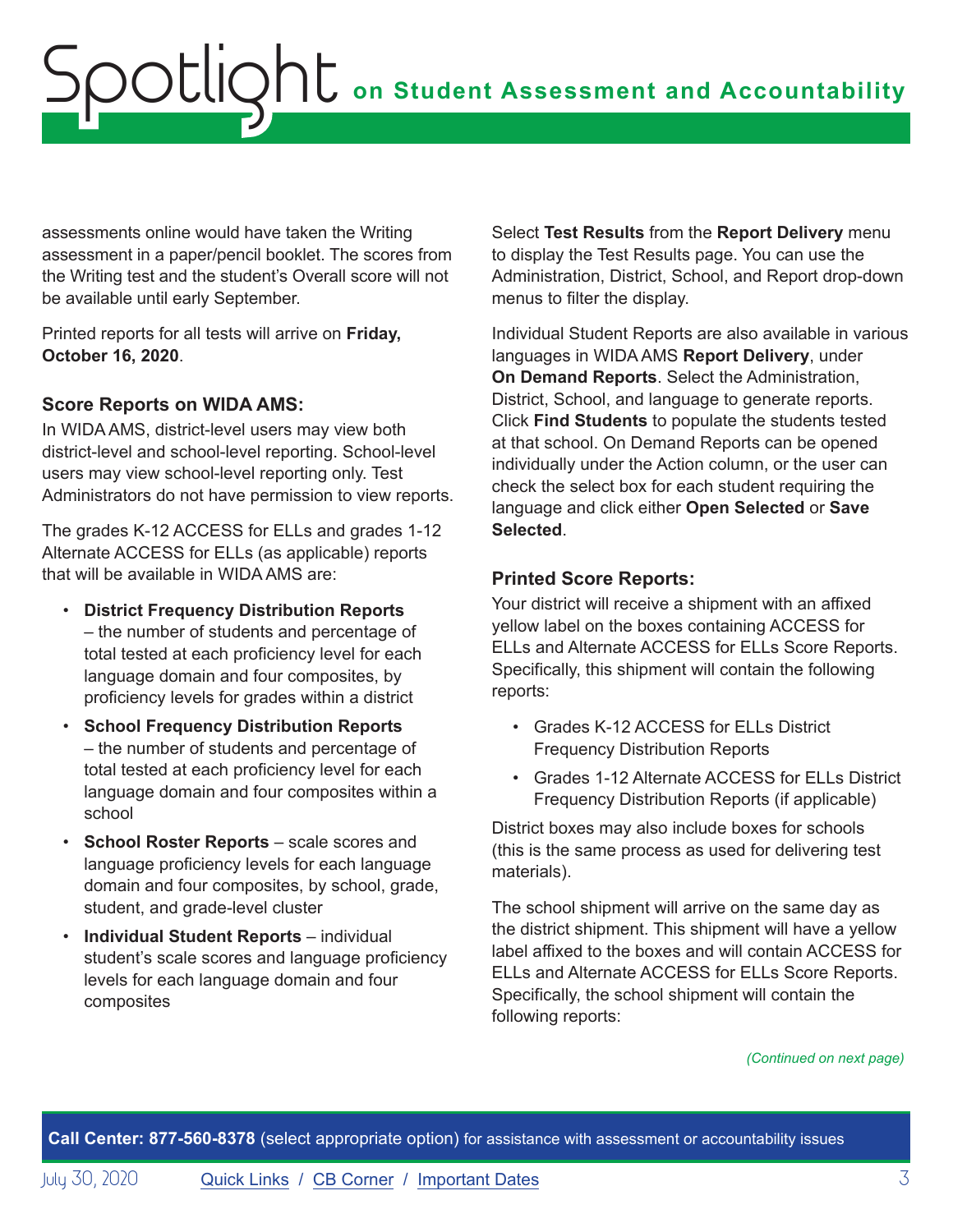assessments online would have taken the Writing assessment in a paper/pencil booklet. The scores from the Writing test and the student's Overall score will not be available until early September.

Printed reports for all tests will arrive on **Friday, October 16, 2020**.

## **Score Reports on WIDA AMS:**

In WIDA AMS, district-level users may view both district-level and school-level reporting. School-level users may view school-level reporting only. Test Administrators do not have permission to view reports.

The grades K-12 ACCESS for ELLs and grades 1-12 Alternate ACCESS for ELLs (as applicable) reports that will be available in WIDA AMS are:

- **District Frequency Distribution Reports** – the number of students and percentage of total tested at each proficiency level for each language domain and four composites, by proficiency levels for grades within a district
- **School Frequency Distribution Reports** – the number of students and percentage of total tested at each proficiency level for each language domain and four composites within a school
- **School Roster Reports** scale scores and language proficiency levels for each language domain and four composites, by school, grade, student, and grade-level cluster
- **Individual Student Reports**  individual student's scale scores and language proficiency levels for each language domain and four composites

Select **Test Results** from the **Report Delivery** menu to display the Test Results page. You can use the Administration, District, School, and Report drop-down menus to filter the display.

Individual Student Reports are also available in various languages in WIDA AMS **Report Delivery**, under **On Demand Reports**. Select the Administration, District, School, and language to generate reports. Click **Find Students** to populate the students tested at that school. On Demand Reports can be opened individually under the Action column, or the user can check the select box for each student requiring the language and click either **Open Selected** or **Save Selected**.

## **Printed Score Reports:**

Your district will receive a shipment with an affixed yellow label on the boxes containing ACCESS for ELLs and Alternate ACCESS for ELLs Score Reports. Specifically, this shipment will contain the following reports:

- Grades K-12 ACCESS for ELLs District Frequency Distribution Reports
- Grades 1-12 Alternate ACCESS for ELLs District Frequency Distribution Reports (if applicable)

District boxes may also include boxes for schools (this is the same process as used for delivering test materials).

The school shipment will arrive on the same day as the district shipment. This shipment will have a yellow label affixed to the boxes and will contain ACCESS for ELLs and Alternate ACCESS for ELLs Score Reports. Specifically, the school shipment will contain the following reports:

*(Continued on next page)*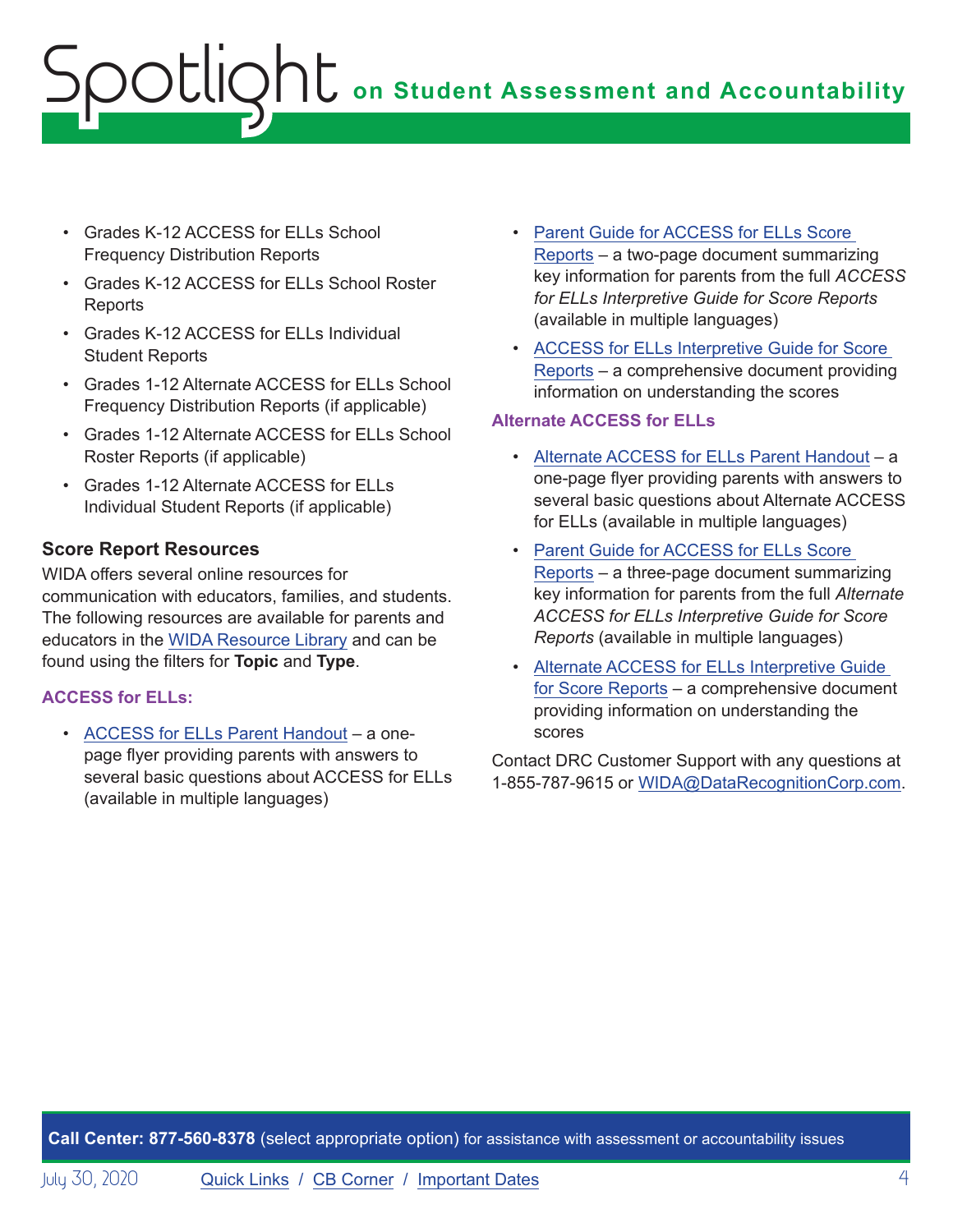# **on Student Assessment and Accountability** Spotlight

- Grades K-12 ACCESS for ELLs School Frequency Distribution Reports
- Grades K-12 ACCESS for ELLs School Roster Reports
- Grades K-12 ACCESS for ELLs Individual Student Reports
- Grades 1-12 Alternate ACCESS for ELLs School Frequency Distribution Reports (if applicable)
- Grades 1-12 Alternate ACCESS for ELLs School Roster Reports (if applicable)
- Grades 1-12 Alternate ACCESS for ELLs Individual Student Reports (if applicable)

## **Score Report Resources**

WIDA offers several online resources for communication with educators, families, and students. The following resources are available for parents and educators in the [WIDA Resource Library](https://wida.wisc.edu/resources) and can be found using the filters for **Topic** and **Type**.

## **ACCESS for ELLs:**

• [ACCESS for ELLs Parent Handout](https://wida.wisc.edu/resources?keys=&field_type_target_id%5B355%5D=355&utm_campaign=MI13&utm_medium=email&utm_source=Eloqua) – a onepage flyer providing parents with answers to several basic questions about ACCESS for ELLs (available in multiple languages)

- [Parent Guide for ACCESS for ELLs Score](https://wida.wisc.edu/resources?keys=&field_type_target_id%5B354%5D=354&utm_source=Eloqua&utm_medium=email&utm_campaign=MI13&utm_content=text-Parent-Guide-for-ACCESS-for-ELLs-Score-Reports)  [Reports](https://wida.wisc.edu/resources?keys=&field_type_target_id%5B354%5D=354&utm_source=Eloqua&utm_medium=email&utm_campaign=MI13&utm_content=text-Parent-Guide-for-ACCESS-for-ELLs-Score-Reports) – a two-page document summarizing key information for parents from the full *ACCESS for ELLs Interpretive Guide for Score Reports* (available in multiple languages)
- [ACCESS for ELLs Interpretive Guide for Score](https://wida.wisc.edu/resources/access-ells-interpretive-guide-score-reports?utm_campaign=MI13&utm_medium=email&utm_source=Eloqua)  [Reports](https://wida.wisc.edu/resources/access-ells-interpretive-guide-score-reports?utm_campaign=MI13&utm_medium=email&utm_source=Eloqua) – a comprehensive document providing information on understanding the scores

#### **Alternate ACCESS for ELLs**

- [Alternate ACCESS for ELLs Parent Handout](https://wida.wisc.edu/resources?keys=%22parent+handout%22&field_type_target_id%5B331%5D=331&utm_campaign=MI13&utm_medium=email&utm_source=Eloqua)  a one-page flyer providing parents with answers to several basic questions about Alternate ACCESS for ELLs (available in multiple languages)
- [Parent Guide for ACCESS for ELLs Score](https://wida.wisc.edu/resources?keys=%22parent+guide%22&field_type_target_id%5B331%5D=331&utm_campaign=MI13&utm_medium=email&utm_source=Eloqua)  [Reports](https://wida.wisc.edu/resources?keys=%22parent+guide%22&field_type_target_id%5B331%5D=331&utm_campaign=MI13&utm_medium=email&utm_source=Eloqua) – a three-page document summarizing key information for parents from the full *Alternate ACCESS for ELLs Interpretive Guide for Score Reports* (available in multiple languages)
- [Alternate ACCESS for ELLs Interpretive Guide](https://wida.wisc.edu/resources/alternate-access-ells-interpretive-guide-score-reports?utm_campaign=MI13&utm_medium=email&utm_source=Eloqua)  [for Score Reports](https://wida.wisc.edu/resources/alternate-access-ells-interpretive-guide-score-reports?utm_campaign=MI13&utm_medium=email&utm_source=Eloqua) – a comprehensive document providing information on understanding the scores

Contact DRC Customer Support with any questions at 1-855-787-9615 or [WIDA@DataRecognitionCorp.com](mailto:WIDA%40DataRecognitionCorp.com?subject=).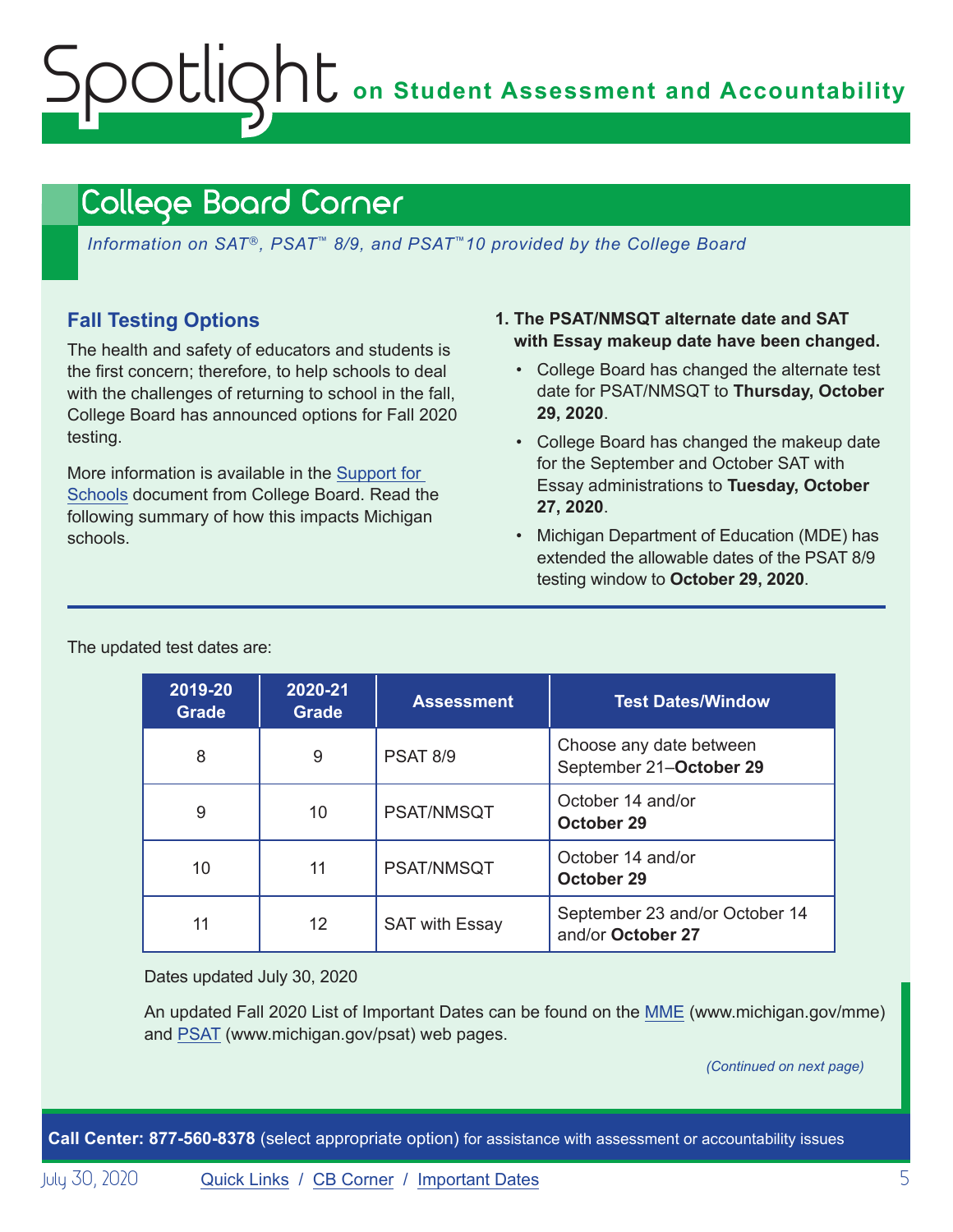# <span id="page-4-0"></span>**on Student Assessment and Accountability** Spotlight

## <span id="page-4-1"></span>College Board Corner

*Information on SAT*®*, PSAT*™ *8/9, and PSAT*™*10 provided by the College Board*

## **Fall Testing Options**

The health and safety of educators and students is the first concern; therefore, to help schools to deal with the challenges of returning to school in the fall, College Board has announced options for Fall 2020 testing.

More information is available in the [Support for](https://collegereadiness.collegeboard.org/pdf/fall-2020-flexible-testing-options-guide-sat-suite.pdf)  [Schools](https://collegereadiness.collegeboard.org/pdf/fall-2020-flexible-testing-options-guide-sat-suite.pdf) document from College Board. Read the following summary of how this impacts Michigan schools.

- **1. The PSAT/NMSQT alternate date and SAT with Essay makeup date have been changed.**
	- College Board has changed the alternate test date for PSAT/NMSQT to **Thursday, October 29, 2020**.
	- College Board has changed the makeup date for the September and October SAT with Essay administrations to **Tuesday, October 27, 2020**.
	- Michigan Department of Education (MDE) has extended the allowable dates of the PSAT 8/9 testing window to **October 29, 2020**.

| 2019-20<br><b>Grade</b> | 2020-21<br><b>Grade</b> | <b>Assessment</b>     | <b>Test Dates/Window</b>                            |
|-------------------------|-------------------------|-----------------------|-----------------------------------------------------|
| 8                       | 9                       | <b>PSAT 8/9</b>       | Choose any date between<br>September 21-October 29  |
| 9                       | 10                      | PSAT/NMSQT            | October 14 and/or<br>October 29                     |
| 10                      | 11                      | PSAT/NMSQT            | October 14 and/or<br>October 29                     |
| 11                      | 12                      | <b>SAT with Essay</b> | September 23 and/or October 14<br>and/or October 27 |

The updated test dates are:

Dates updated July 30, 2020

An updated Fall 2020 List of Important Dates can be found on the [MME](www.michigan.gov/mme) (www.michigan.gov/mme) and [PSAT](http://www.michigan.gov/psat) (www.michigan.gov/psat) web pages.

*(Continued on next page)*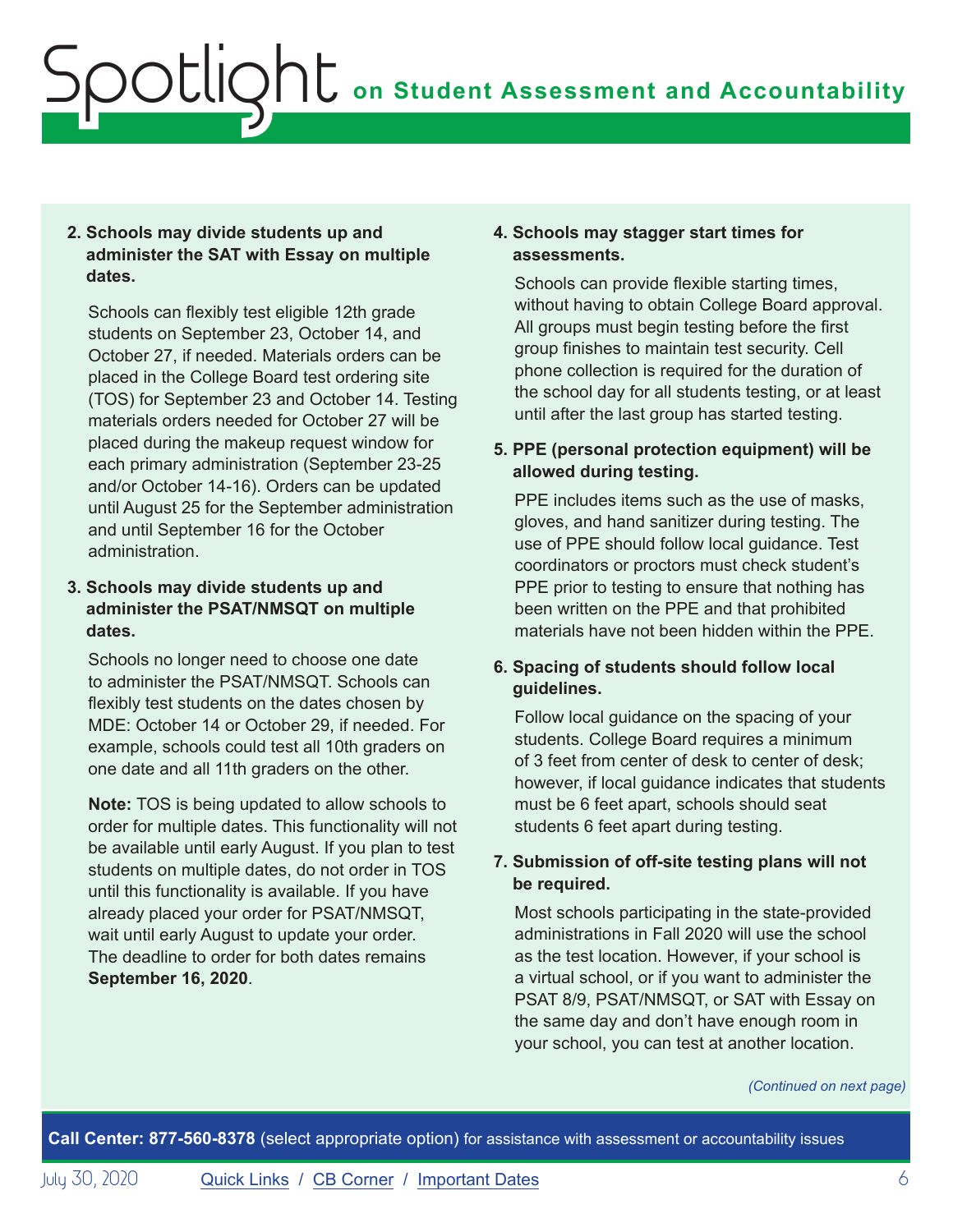## **2. Schools may divide students up and administer the SAT with Essay on multiple dates.**

Schools can flexibly test eligible 12th grade students on September 23, October 14, and October 27, if needed. Materials orders can be placed in the College Board test ordering site (TOS) for September 23 and October 14. Testing materials orders needed for October 27 will be placed during the makeup request window for each primary administration (September 23-25 and/or October 14-16). Orders can be updated until August 25 for the September administration and until September 16 for the October administration.

#### **3. Schools may divide students up and administer the PSAT/NMSQT on multiple dates.**

Schools no longer need to choose one date to administer the PSAT/NMSQT. Schools can flexibly test students on the dates chosen by MDE: October 14 or October 29, if needed. For example, schools could test all 10th graders on one date and all 11th graders on the other.

**Note:** TOS is being updated to allow schools to order for multiple dates. This functionality will not be available until early August. If you plan to test students on multiple dates, do not order in TOS until this functionality is available. If you have already placed your order for PSAT/NMSQT, wait until early August to update your order. The deadline to order for both dates remains **September 16, 2020**.

#### **4. Schools may stagger start times for assessments.**

Schools can provide flexible starting times, without having to obtain College Board approval. All groups must begin testing before the first group finishes to maintain test security. Cell phone collection is required for the duration of the school day for all students testing, or at least until after the last group has started testing.

## **5. PPE (personal protection equipment) will be allowed during testing.**

PPE includes items such as the use of masks. gloves, and hand sanitizer during testing. The use of PPE should follow local guidance. Test coordinators or proctors must check student's PPE prior to testing to ensure that nothing has been written on the PPE and that prohibited materials have not been hidden within the PPE.

## **6. Spacing of students should follow local guidelines.**

Follow local guidance on the spacing of your students. College Board requires a minimum of 3 feet from center of desk to center of desk; however, if local guidance indicates that students must be 6 feet apart, schools should seat students 6 feet apart during testing.

## **7. Submission of off-site testing plans will not be required.**

Most schools participating in the state-provided administrations in Fall 2020 will use the school as the test location. However, if your school is a virtual school, or if you want to administer the PSAT 8/9, PSAT/NMSQT, or SAT with Essay on the same day and don't have enough room in your school, you can test at another location.

#### *(Continued on next page)*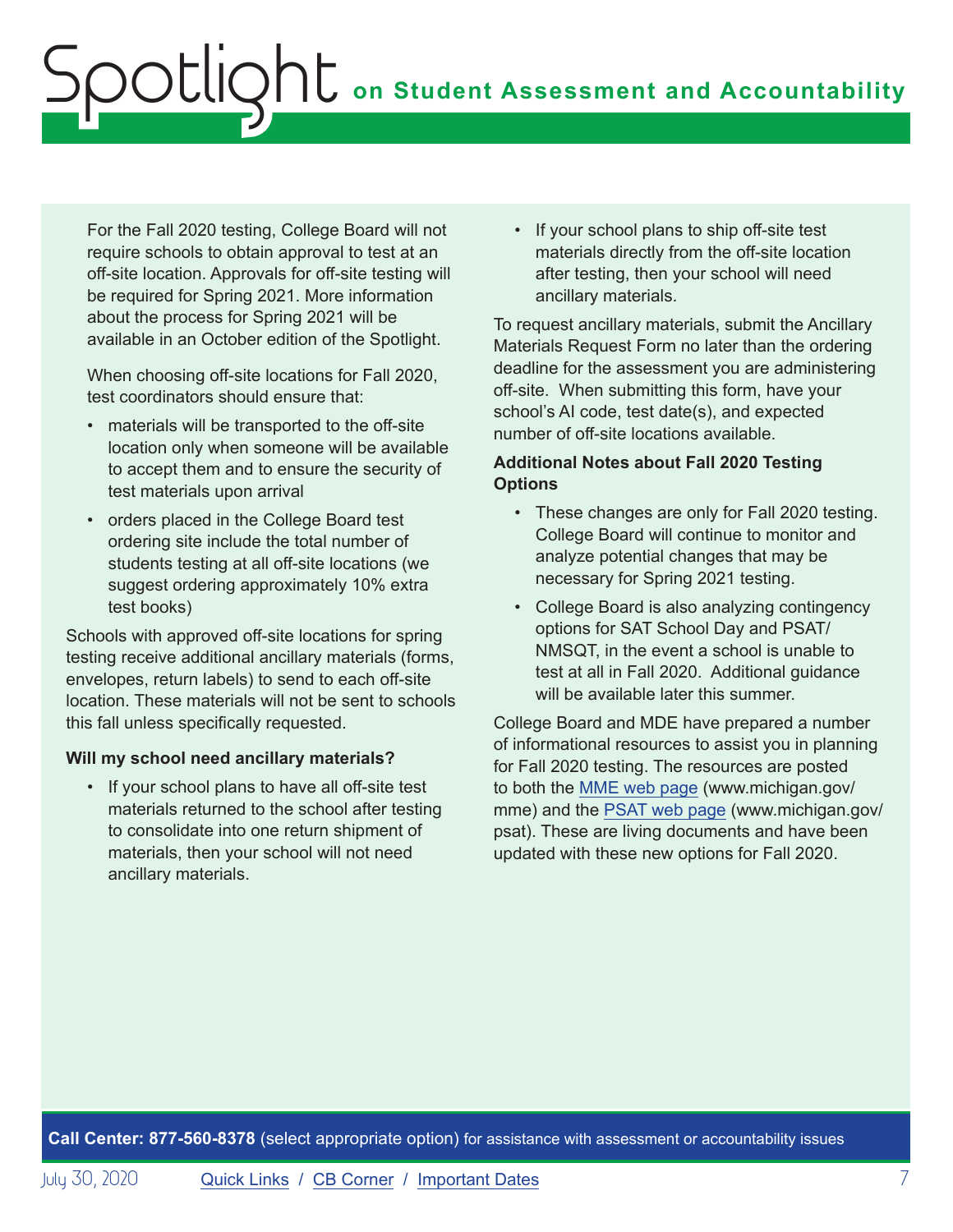For the Fall 2020 testing, College Board will not require schools to obtain approval to test at an off-site location. Approvals for off-site testing will be required for Spring 2021. More information about the process for Spring 2021 will be available in an October edition of the Spotlight.

When choosing off-site locations for Fall 2020, test coordinators should ensure that:

- materials will be transported to the off-site location only when someone will be available to accept them and to ensure the security of test materials upon arrival
- orders placed in the College Board test ordering site include the total number of students testing at all off-site locations (we suggest ordering approximately 10% extra test books)

Schools with approved off-site locations for spring testing receive additional ancillary materials (forms, envelopes, return labels) to send to each off-site location. These materials will not be sent to schools this fall unless specifically requested.

## **Will my school need ancillary materials?**

• If your school plans to have all off-site test materials returned to the school after testing to consolidate into one return shipment of materials, then your school will not need ancillary materials.

• If your school plans to ship off-site test materials directly from the off-site location after testing, then your school will need ancillary materials.

To request ancillary materials, submit the Ancillary Materials Request Form no later than the ordering deadline for the assessment you are administering off-site. When submitting this form, have your school's AI code, test date(s), and expected number of off-site locations available.

#### **Additional Notes about Fall 2020 Testing Options**

- These changes are only for Fall 2020 testing. College Board will continue to monitor and analyze potential changes that may be necessary for Spring 2021 testing.
- College Board is also analyzing contingency options for SAT School Day and PSAT/ NMSQT, in the event a school is unable to test at all in Fall 2020. Additional guidance will be available later this summer.

College Board and MDE have prepared a number of informational resources to assist you in planning for Fall 2020 testing. The resources are posted to both the [MME web page](www.michigan.gov/mme) (www.michigan.gov/ mme) and the [PSAT web page](http://www.michigan.gov/psat) (www.michigan.gov/ psat). These are living documents and have been updated with these new options for Fall 2020.